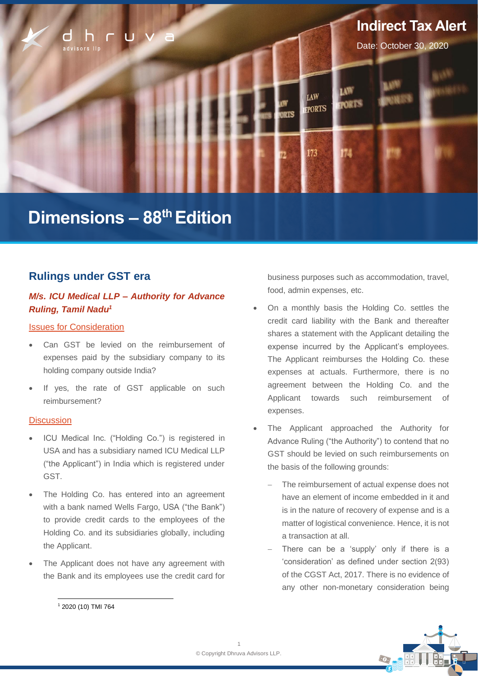

# **Dimensions – 88 thEdition**

# **Rulings under GST era**

# *M/s. ICU Medical LLP – Authority for Advance Ruling, Tamil Nadu<sup>1</sup>*

# Issues for Consideration

- Can GST be levied on the reimbursement of expenses paid by the subsidiary company to its holding company outside India?
- If yes, the rate of GST applicable on such reimbursement?

# **Discussion**

- ICU Medical Inc. ("Holding Co.") is registered in USA and has a subsidiary named ICU Medical LLP ("the Applicant") in India which is registered under GST.
- The Holding Co. has entered into an agreement with a bank named Wells Fargo, USA ("the Bank") to provide credit cards to the employees of the Holding Co. and its subsidiaries globally, including the Applicant.
- The Applicant does not have any agreement with the Bank and its employees use the credit card for

business purposes such as accommodation, travel, food, admin expenses, etc.

- On a monthly basis the Holding Co. settles the credit card liability with the Bank and thereafter shares a statement with the Applicant detailing the expense incurred by the Applicant's employees. The Applicant reimburses the Holding Co. these expenses at actuals. Furthermore, there is no agreement between the Holding Co. and the Applicant towards such reimbursement of expenses.
- The Applicant approached the Authority for Advance Ruling ("the Authority") to contend that no GST should be levied on such reimbursements on the basis of the following grounds:
	- The reimbursement of actual expense does not have an element of income embedded in it and is in the nature of recovery of expense and is a matter of logistical convenience. Hence, it is not a transaction at all.
	- There can be a 'supply' only if there is a 'consideration' as defined under section 2(93) of the CGST Act, 2017. There is no evidence of any other non-monetary consideration being



<sup>1</sup> 2020 (10) TMI 764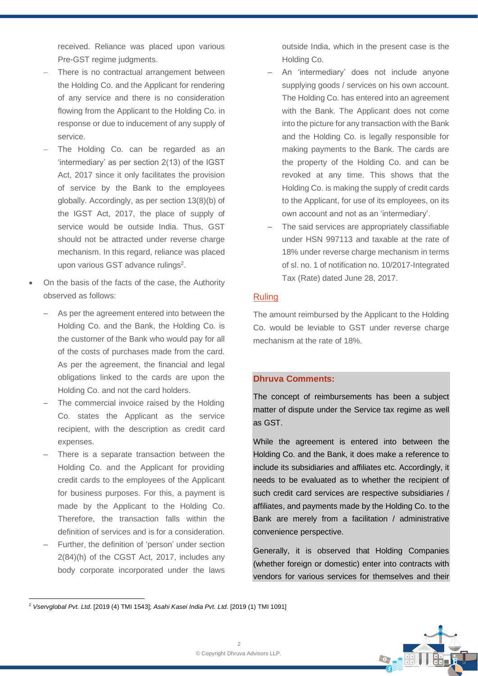received. Reliance was placed upon various Pre-GST regime judgments.

- There is no contractual arrangement between the Holding Co. and the Applicant for rendering of any service and there is no consideration flowing from the Applicant to the Holding Co. in response or due to inducement of any supply of service.
- The Holding Co. can be regarded as an 'intermediary' as per section 2(13) of the IGST Act, 2017 since it only facilitates the provision of service by the Bank to the employees globally. Accordingly, as per section 13(8)(b) of the IGST Act, 2017, the place of supply of service would be outside India. Thus, GST should not be attracted under reverse charge mechanism. In this regard, reliance was placed upon various GST advance rulings<sup>2</sup>.
- On the basis of the facts of the case, the Authority observed as follows:
	- As per the agreement entered into between the Holding Co. and the Bank, the Holding Co. is the customer of the Bank who would pay for all of the costs of purchases made from the card. As per the agreement, the financial and legal obligations linked to the cards are upon the Holding Co. and not the card holders.
	- The commercial invoice raised by the Holding Co. states the Applicant as the service recipient, with the description as credit card expenses.
	- There is a separate transaction between the Holding Co. and the Applicant for providing credit cards to the employees of the Applicant for business purposes. For this, a payment is made by the Applicant to the Holding Co. Therefore, the transaction falls within the definition of services and is for a consideration.
	- ‒ Further, the definition of 'person' under section 2(84)(h) of the CGST Act, 2017, includes any body corporate incorporated under the laws

outside India, which in the present case is the Holding Co.

- ‒ An 'intermediary' does not include anyone supplying goods / services on his own account. The Holding Co. has entered into an agreement with the Bank. The Applicant does not come into the picture for any transaction with the Bank and the Holding Co. is legally responsible for making payments to the Bank. The cards are the property of the Holding Co. and can be revoked at any time. This shows that the Holding Co. is making the supply of credit cards to the Applicant, for use of its employees, on its own account and not as an 'intermediary'.
- The said services are appropriately classifiable under HSN 997113 and taxable at the rate of 18% under reverse charge mechanism in terms of sl. no. 1 of notification no. 10/2017-Integrated Tax (Rate) dated June 28, 2017.

# Ruling

The amount reimbursed by the Applicant to the Holding Co. would be leviable to GST under reverse charge mechanism at the rate of 18%.

# **Dhruva Comments:**

The concept of reimbursements has been a subject matter of dispute under the Service tax regime as well as GST.

While the agreement is entered into between the Holding Co. and the Bank, it does make a reference to include its subsidiaries and affiliates etc. Accordingly, it needs to be evaluated as to whether the recipient of such credit card services are respective subsidiaries / affiliates, and payments made by the Holding Co. to the Bank are merely from a facilitation / administrative convenience perspective.

Generally, it is observed that Holding Companies (whether foreign or domestic) enter into contracts with vendors for various services for themselves and their



<sup>2</sup> *Vservglobal Pvt. Ltd.* [2019 (4) TMI 1543]; *Asahi Kasei India Pvt. Ltd.* [2019 (1) TMI 1091]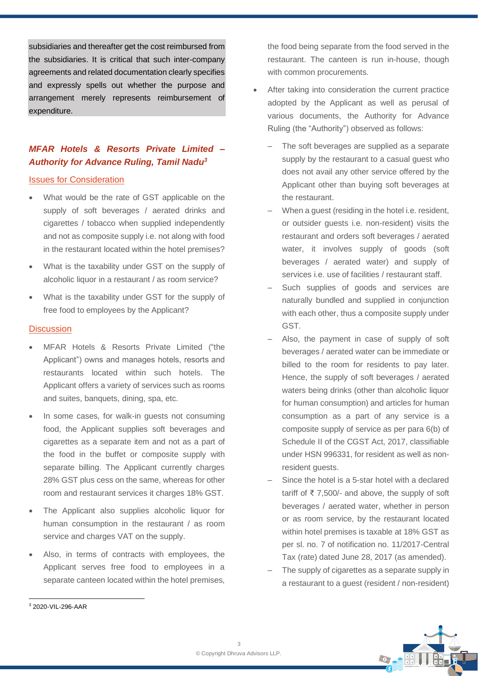subsidiaries and thereafter get the cost reimbursed from the subsidiaries. It is critical that such inter-company agreements and related documentation clearly specifies and expressly spells out whether the purpose and arrangement merely represents reimbursement of expenditure.

# *MFAR Hotels & Resorts Private Limited – Authority for Advance Ruling, Tamil Nadu<sup>3</sup>*

### Issues for Consideration

- What would be the rate of GST applicable on the supply of soft beverages / aerated drinks and cigarettes / tobacco when supplied independently and not as composite supply i.e. not along with food in the restaurant located within the hotel premises?
- What is the taxability under GST on the supply of alcoholic liquor in a restaurant / as room service?
- What is the taxability under GST for the supply of free food to employees by the Applicant?

### **Discussion**

- MFAR Hotels & Resorts Private Limited ("the Applicant") owns and manages hotels, resorts and restaurants located within such hotels. The Applicant offers a variety of services such as rooms and suites, banquets, dining, spa, etc.
- In some cases, for walk-in guests not consuming food, the Applicant supplies soft beverages and cigarettes as a separate item and not as a part of the food in the buffet or composite supply with separate billing. The Applicant currently charges 28% GST plus cess on the same, whereas for other room and restaurant services it charges 18% GST.
- The Applicant also supplies alcoholic liquor for human consumption in the restaurant / as room service and charges VAT on the supply.
- Also, in terms of contracts with employees, the Applicant serves free food to employees in a separate canteen located within the hotel premises,

the food being separate from the food served in the restaurant. The canteen is run in-house, though with common procurements.

- After taking into consideration the current practice adopted by the Applicant as well as perusal of various documents, the Authority for Advance Ruling (the "Authority") observed as follows:
	- The soft beverages are supplied as a separate supply by the restaurant to a casual guest who does not avail any other service offered by the Applicant other than buying soft beverages at the restaurant.
	- When a quest (residing in the hotel i.e. resident, or outsider guests i.e. non-resident) visits the restaurant and orders soft beverages / aerated water, it involves supply of goods (soft beverages / aerated water) and supply of services i.e. use of facilities / restaurant staff.
	- Such supplies of goods and services are naturally bundled and supplied in conjunction with each other, thus a composite supply under GST.
	- Also, the payment in case of supply of soft beverages / aerated water can be immediate or billed to the room for residents to pay later. Hence, the supply of soft beverages / aerated waters being drinks (other than alcoholic liquor for human consumption) and articles for human consumption as a part of any service is a composite supply of service as per para 6(b) of Schedule II of the CGST Act, 2017, classifiable under HSN 996331, for resident as well as nonresident quests.
	- Since the hotel is a 5-star hotel with a declared tariff of ₹7,500/- and above, the supply of soft beverages / aerated water, whether in person or as room service, by the restaurant located within hotel premises is taxable at 18% GST as per sl. no. 7 of notification no. 11/2017-Central Tax (rate) dated June 28, 2017 (as amended).
	- The supply of cigarettes as a separate supply in a restaurant to a guest (resident / non-resident)



<sup>3</sup> 2020-VIL-296-AAR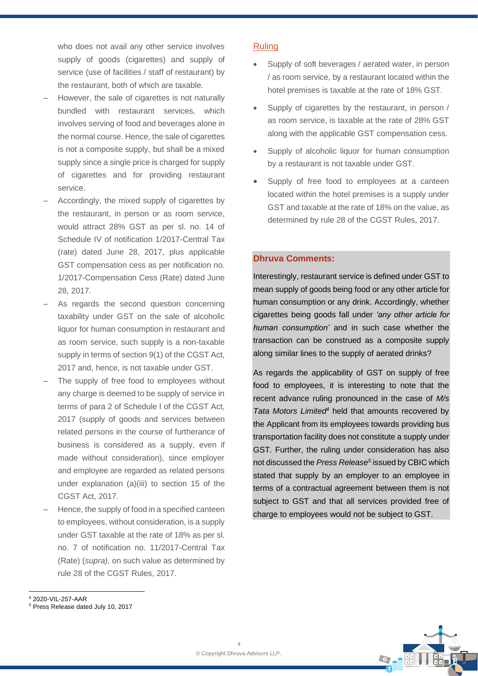who does not avail any other service involves supply of goods (cigarettes) and supply of service (use of facilities / staff of restaurant) by the restaurant, both of which are taxable.

- However, the sale of cigarettes is not naturally bundled with restaurant services, which involves serving of food and beverages alone in the normal course. Hence, the sale of cigarettes is not a composite supply, but shall be a mixed supply since a single price is charged for supply of cigarettes and for providing restaurant service.
- Accordingly, the mixed supply of cigarettes by the restaurant, in person or as room service, would attract 28% GST as per sl. no. 14 of Schedule IV of notification 1/2017-Central Tax (rate) dated June 28, 2017, plus applicable GST compensation cess as per notification no. 1/2017-Compensation Cess (Rate) dated June 28, 2017.
- As regards the second question concerning taxability under GST on the sale of alcoholic liquor for human consumption in restaurant and as room service, such supply is a non-taxable supply in terms of section 9(1) of the CGST Act, 2017 and, hence, is not taxable under GST.
- The supply of free food to employees without any charge is deemed to be supply of service in terms of para 2 of Schedule I of the CGST Act, 2017 (supply of goods and services between related persons in the course of furtherance of business is considered as a supply, even if made without consideration), since employer and employee are regarded as related persons under explanation (a)(iii) to section 15 of the CGST Act, 2017.
- Hence, the supply of food in a specified canteen to employees, without consideration, is a supply under GST taxable at the rate of 18% as per sl. no. 7 of notification no. 11/2017-Central Tax (Rate) (*supra),* on such value as determined by rule 28 of the CGST Rules, 2017.

# **Ruling**

- Supply of soft beverages / aerated water, in person / as room service, by a restaurant located within the hotel premises is taxable at the rate of 18% GST.
- Supply of cigarettes by the restaurant, in person / as room service, is taxable at the rate of 28% GST along with the applicable GST compensation cess.
- Supply of alcoholic liquor for human consumption by a restaurant is not taxable under GST.
- Supply of free food to employees at a canteen located within the hotel premises is a supply under GST and taxable at the rate of 18% on the value, as determined by rule 28 of the CGST Rules, 2017.

# **Dhruva Comments:**

Interestingly, restaurant service is defined under GST to mean supply of goods being food or any other article for human consumption or any drink. Accordingly, whether cigarettes being goods fall under *'any other article for human consumption'* and in such case whether the transaction can be construed as a composite supply along similar lines to the supply of aerated drinks?

As regards the applicability of GST on supply of free food to employees, it is interesting to note that the recent advance ruling pronounced in the case of *M/s Tata Motors Limited<sup>4</sup>* held that amounts recovered by the Applicant from its employees towards providing bus transportation facility does not constitute a supply under GST. Further, the ruling under consideration has also not discussed the *Press Release<sup>5</sup>* issued by CBIC which stated that supply by an employer to an employee in terms of a contractual agreement between them is not subject to GST and that all services provided free of charge to employees would not be subject to GST.



<sup>4</sup> 2020-VIL-257-AAR

<sup>5</sup> Press Release dated July 10, 2017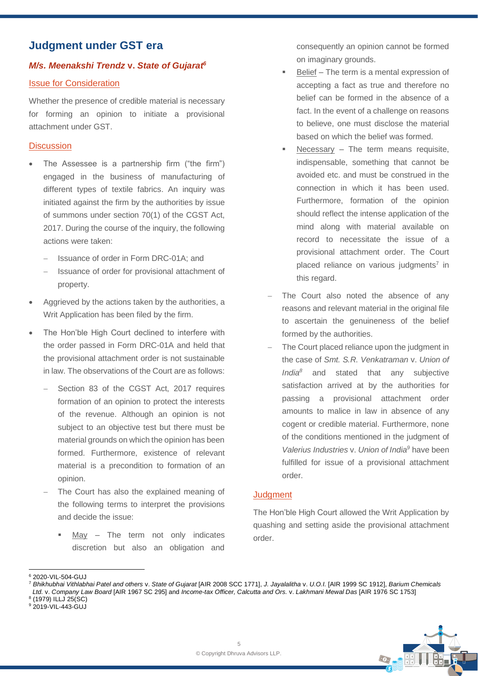# **Judgment under GST era**

# *M/s. Meenakshi Trendz* **v.** *State of Gujarat 6*

# Issue for Consideration

Whether the presence of credible material is necessary for forming an opinion to initiate a provisional attachment under GST.

# **Discussion**

- The Assessee is a partnership firm ("the firm") engaged in the business of manufacturing of different types of textile fabrics. An inquiry was initiated against the firm by the authorities by issue of summons under section 70(1) of the CGST Act, 2017. During the course of the inquiry, the following actions were taken:
	- − Issuance of order in Form DRC-01A; and
	- − Issuance of order for provisional attachment of property.
- Aggrieved by the actions taken by the authorities, a Writ Application has been filed by the firm.
- The Hon'ble High Court declined to interfere with the order passed in Form DRC-01A and held that the provisional attachment order is not sustainable in law. The observations of the Court are as follows:
	- Section 83 of the CGST Act, 2017 requires formation of an opinion to protect the interests of the revenue. Although an opinion is not subject to an objective test but there must be material grounds on which the opinion has been formed. Furthermore, existence of relevant material is a precondition to formation of an opinion.
	- The Court has also the explained meaning of the following terms to interpret the provisions and decide the issue:
		- $M$ ay The term not only indicates discretion but also an obligation and

consequently an opinion cannot be formed on imaginary grounds.

- Belief The term is a mental expression of accepting a fact as true and therefore no belief can be formed in the absence of a fact. In the event of a challenge on reasons to believe, one must disclose the material based on which the belief was formed.
- Necessary The term means requisite, indispensable, something that cannot be avoided etc. and must be construed in the connection in which it has been used. Furthermore, formation of the opinion should reflect the intense application of the mind along with material available on record to necessitate the issue of a provisional attachment order. The Court placed reliance on various judgments<sup>7</sup> in this regard.
- The Court also noted the absence of any reasons and relevant material in the original file to ascertain the genuineness of the belief formed by the authorities.
- The Court placed reliance upon the judgment in the case of *Smt. S.R. Venkatraman* v. *Union of India<sup>8</sup>* and stated that any subjective satisfaction arrived at by the authorities for passing a provisional attachment order amounts to malice in law in absence of any cogent or credible material. Furthermore, none of the conditions mentioned in the judgment of *Valerius Industries* v. *Union of India<sup>9</sup>* have been fulfilled for issue of a provisional attachment order.

# **Judgment**

The Hon'ble High Court allowed the Writ Application by quashing and setting aside the provisional attachment order.



<sup>6</sup> 2020-VIL-504-GUJ

<sup>7</sup> *Bhikhubhai Vithlabhai Patel and others* v. *State of Gujarat* [AIR 2008 SCC 1771], *J. Jayalalitha* v. *U.O.I.* [AIR 1999 SC 1912], *Barium Chemicals Ltd.* v. *Company Law Board* [AIR 1967 SC 295] and *Income-tax Officer, Calcutta and Ors.* v. *Lakhmani Mewal Das* [AIR 1976 SC 1753]

<sup>8</sup> (1979) ILLJ 25(SC)

<sup>9</sup> 2019-VIL-443-GUJ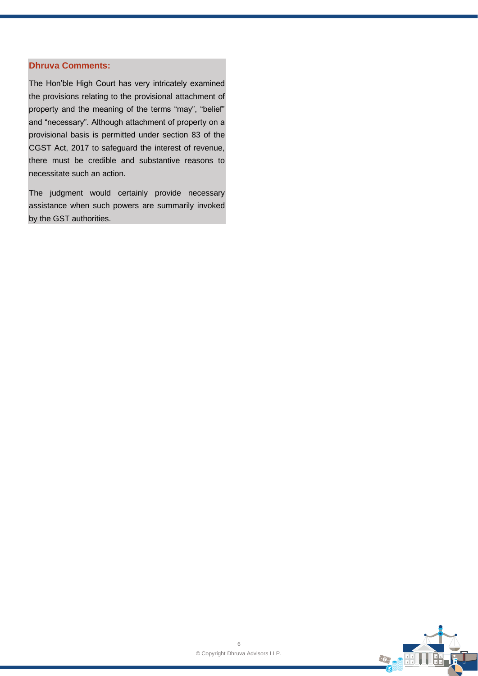### **Dhruva Comments:**

The Hon'ble High Court has very intricately examined the provisions relating to the provisional attachment of property and the meaning of the terms "may", "belief" and "necessary". Although attachment of property on a provisional basis is permitted under section 83 of the CGST Act, 2017 to safeguard the interest of revenue, there must be credible and substantive reasons to necessitate such an action.

The judgment would certainly provide necessary assistance when such powers are summarily invoked by the GST authorities.